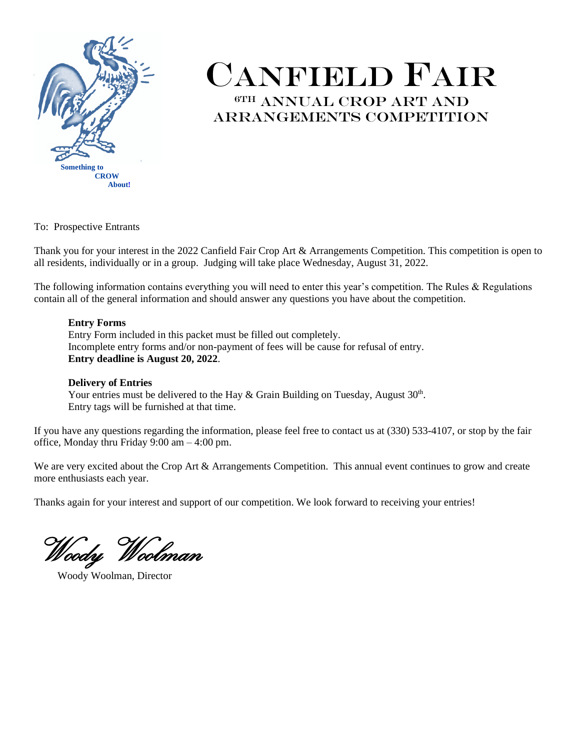

# CANFIELD FAIR  $\,$ 6TH ANNUAL CROP ART AND Arrangements competition

To: Prospective Entrants

Thank you for your interest in the 2022 Canfield Fair Crop Art & Arrangements Competition. This competition is open to all residents, individually or in a group. Judging will take place Wednesday, August 31, 2022.

The following information contains everything you will need to enter this year's competition. The Rules & Regulations contain all of the general information and should answer any questions you have about the competition.

## **Entry Forms**

Entry Form included in this packet must be filled out completely. Incomplete entry forms and/or non-payment of fees will be cause for refusal of entry. **Entry deadline is August 20, 2022**.

## **Delivery of Entries**

Your entries must be delivered to the Hay  $\&$  Grain Building on Tuesday, August 30<sup>th</sup>. Entry tags will be furnished at that time.

If you have any questions regarding the information, please feel free to contact us at (330) 533-4107, or stop by the fair office, Monday thru Friday 9:00 am – 4:00 pm.

We are very excited about the Crop Art & Arrangements Competition. This annual event continues to grow and create more enthusiasts each year.

Thanks again for your interest and support of our competition. We look forward to receiving your entries!

Woody Woolman

Woody Woolman, Director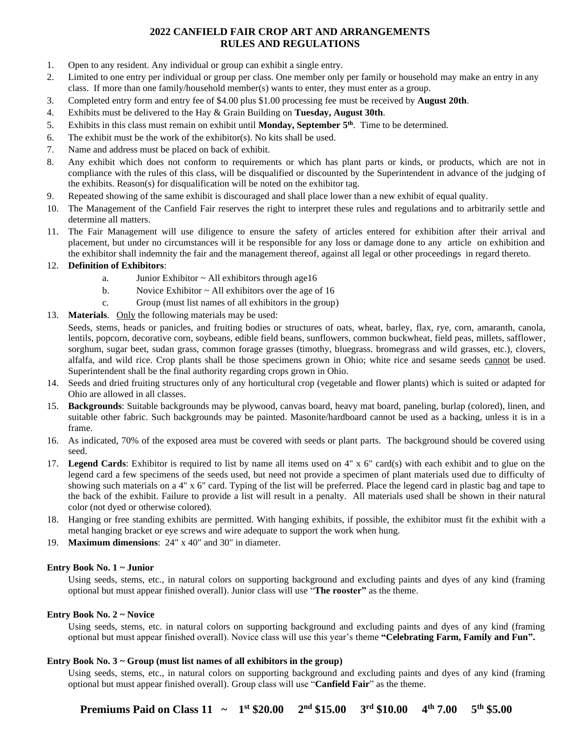## **2022 CANFIELD FAIR CROP ART AND ARRANGEMENTS RULES AND REGULATIONS**

- 1. Open to any resident. Any individual or group can exhibit a single entry.
- 2. Limited to one entry per individual or group per class. One member only per family or household may make an entry in any class. If more than one family/household member(s) wants to enter, they must enter as a group.
- 3. Completed entry form and entry fee of \$4.00 plus \$1.00 processing fee must be received by **August 20th**.
- 4. Exhibits must be delivered to the Hay & Grain Building on **Tuesday, August 30th**.
- 5. Exhibits in this class must remain on exhibit until **Monday, September 5 th**. Time to be determined.
- 6. The exhibit must be the work of the exhibitor(s). No kits shall be used.
- 7. Name and address must be placed on back of exhibit.
- 8. Any exhibit which does not conform to requirements or which has plant parts or kinds, or products, which are not in compliance with the rules of this class, will be disqualified or discounted by the Superintendent in advance of the judging of the exhibits. Reason(s) for disqualification will be noted on the exhibitor tag.
- 9. Repeated showing of the same exhibit is discouraged and shall place lower than a new exhibit of equal quality.
- 10. The Management of the Canfield Fair reserves the right to interpret these rules and regulations and to arbitrarily settle and determine all matters.
- 11. The Fair Management will use diligence to ensure the safety of articles entered for exhibition after their arrival and placement, but under no circumstances will it be responsible for any loss or damage done to any article on exhibition and the exhibitor shall indemnity the fair and the management thereof, against all legal or other proceedings in regard thereto.

## 12. **Definition of Exhibitors**:

- a. Junior Exhibitor ~ All exhibitors through age16
- b. Novice Exhibitor ~ All exhibitors over the age of 16
- c. Group (must list names of all exhibitors in the group)
- 13. **Materials**. Only the following materials may be used:

Seeds, stems, heads or panicles, and fruiting bodies or structures of oats, wheat, barley, flax, rye, corn, amaranth, canola, lentils, popcorn, decorative corn, soybeans, edible field beans, sunflowers, common buckwheat, field peas, millets, safflower, sorghum, sugar beet, sudan grass, common forage grasses (timothy, bluegrass. bromegrass and wild grasses, etc.), clovers, alfalfa, and wild rice. Crop plants shall be those specimens grown in Ohio; white rice and sesame seeds cannot be used. Superintendent shall be the final authority regarding crops grown in Ohio.

- 14. Seeds and dried fruiting structures only of any horticultural crop (vegetable and flower plants) which is suited or adapted for Ohio are allowed in all classes.
- 15. **Backgrounds**: Suitable backgrounds may be plywood, canvas board, heavy mat board, paneling, burlap (colored), linen, and suitable other fabric. Such backgrounds may be painted. Masonite/hardboard cannot be used as a backing, unless it is in a frame.
- 16. As indicated, 70% of the exposed area must be covered with seeds or plant parts. The background should be covered using seed.
- 17. **Legend Cards**: Exhibitor is required to list by name all items used on 4" x 6" card(s) with each exhibit and to glue on the legend card a few specimens of the seeds used, but need not provide a specimen of plant materials used due to difficulty of showing such materials on a 4" x 6" card. Typing of the list will be preferred. Place the legend card in plastic bag and tape to the back of the exhibit. Failure to provide a list will result in a penalty. All materials used shall be shown in their natural color (not dyed or otherwise colored).
- 18. Hanging or free standing exhibits are permitted. With hanging exhibits, if possible, the exhibitor must fit the exhibit with a metal hanging bracket or eye screws and wire adequate to support the work when hung.
- 19. **Maximum dimensions**: 24" x 40" and 30" in diameter.

#### **Entry Book No. 1 ~ Junior**

Using seeds, stems, etc., in natural colors on supporting background and excluding paints and dyes of any kind (framing optional but must appear finished overall). Junior class will use "**The rooster"** as the theme.

#### **Entry Book No. 2 ~ Novice**

Using seeds, stems, etc. in natural colors on supporting background and excluding paints and dyes of any kind (framing optional but must appear finished overall). Novice class will use this year's theme **"Celebrating Farm, Family and Fun".**

#### **Entry Book No. 3 ~ Group (must list names of all exhibitors in the group)**

Using seeds, stems, etc., in natural colors on supporting background and excluding paints and dyes of any kind (framing optional but must appear finished overall). Group class will use "**Canfield Fair**" as the theme.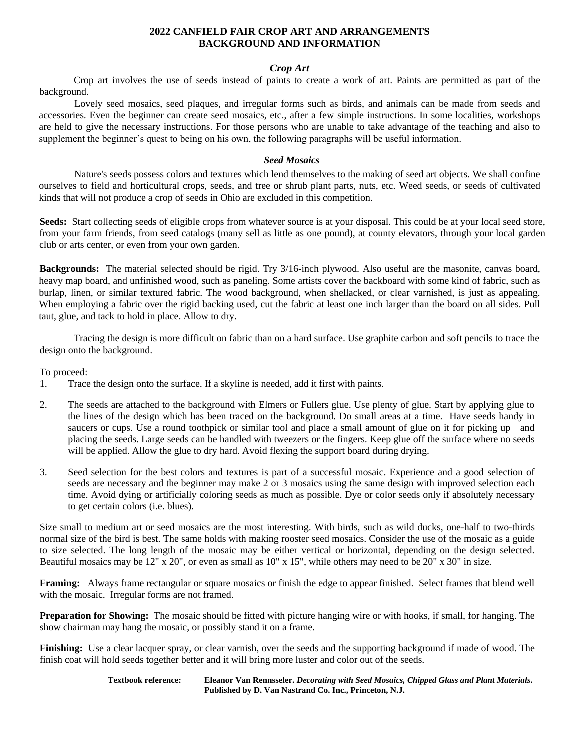#### **2022 CANFIELD FAIR CROP ART AND ARRANGEMENTS BACKGROUND AND INFORMATION**

#### *Crop Art*

Crop art involves the use of seeds instead of paints to create a work of art. Paints are permitted as part of the background.

Lovely seed mosaics, seed plaques, and irregular forms such as birds, and animals can be made from seeds and accessories. Even the beginner can create seed mosaics, etc., after a few simple instructions. In some localities, workshops are held to give the necessary instructions. For those persons who are unable to take advantage of the teaching and also to supplement the beginner's quest to being on his own, the following paragraphs will be useful information.

## *Seed Mosaics*

Nature's seeds possess colors and textures which lend themselves to the making of seed art objects. We shall confine ourselves to field and horticultural crops, seeds, and tree or shrub plant parts, nuts, etc. Weed seeds, or seeds of cultivated kinds that will not produce a crop of seeds in Ohio are excluded in this competition.

**Seeds:** Start collecting seeds of eligible crops from whatever source is at your disposal. This could be at your local seed store, from your farm friends, from seed catalogs (many sell as little as one pound), at county elevators, through your local garden club or arts center, or even from your own garden.

**Backgrounds:** The material selected should be rigid. Try 3/16-inch plywood. Also useful are the masonite, canvas board, heavy map board, and unfinished wood, such as paneling. Some artists cover the backboard with some kind of fabric, such as burlap, linen, or similar textured fabric. The wood background, when shellacked, or clear varnished, is just as appealing. When employing a fabric over the rigid backing used, cut the fabric at least one inch larger than the board on all sides. Pull taut, glue, and tack to hold in place. Allow to dry.

Tracing the design is more difficult on fabric than on a hard surface. Use graphite carbon and soft pencils to trace the design onto the background.

To proceed:

- 1. Trace the design onto the surface. If a skyline is needed, add it first with paints.
- 2. The seeds are attached to the background with Elmers or Fullers glue. Use plenty of glue. Start by applying glue to the lines of the design which has been traced on the background. Do small areas at a time. Have seeds handy in saucers or cups. Use a round toothpick or similar tool and place a small amount of glue on it for picking up and placing the seeds. Large seeds can be handled with tweezers or the fingers. Keep glue off the surface where no seeds will be applied. Allow the glue to dry hard. Avoid flexing the support board during drying.
- 3. Seed selection for the best colors and textures is part of a successful mosaic. Experience and a good selection of seeds are necessary and the beginner may make 2 or 3 mosaics using the same design with improved selection each time. Avoid dying or artificially coloring seeds as much as possible. Dye or color seeds only if absolutely necessary to get certain colors (i.e. blues).

Size small to medium art or seed mosaics are the most interesting. With birds, such as wild ducks, one-half to two-thirds normal size of the bird is best. The same holds with making rooster seed mosaics. Consider the use of the mosaic as a guide to size selected. The long length of the mosaic may be either vertical or horizontal, depending on the design selected. Beautiful mosaics may be 12" x 20", or even as small as 10" x 15", while others may need to be 20" x 30" in size.

**Framing:** Always frame rectangular or square mosaics or finish the edge to appear finished. Select frames that blend well with the mosaic. Irregular forms are not framed.

**Preparation for Showing:** The mosaic should be fitted with picture hanging wire or with hooks, if small, for hanging. The show chairman may hang the mosaic, or possibly stand it on a frame.

**Finishing:** Use a clear lacquer spray, or clear varnish, over the seeds and the supporting background if made of wood. The finish coat will hold seeds together better and it will bring more luster and color out of the seeds.

> **Textbook reference: Eleanor Van Rennsseler.** *Decorating with Seed Mosaics, Chipped Glass and Plant Materials***. Published by D. Van Nastrand Co. Inc., Princeton, N.J.**